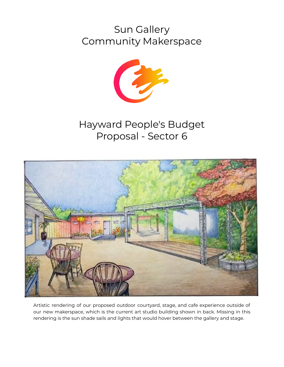# Sun Gallery Community Makerspace



# Hayward People's Budget Proposal - Sector 6



Artistic rendering of our proposed outdoor courtyard, stage, and cafe experience outside of our new makerspace, which is the current art studio building shown in back. Missing in this rendering is the sun shade sails and lights that would hover between the gallery and stage.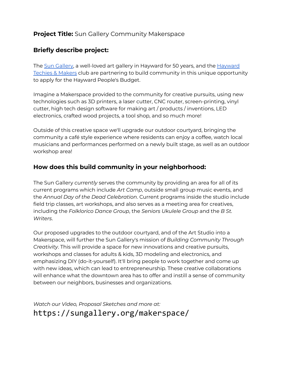### **Project Title:** Sun Gallery Community Makerspace

### **Briefly describe project:**

The Sun [Gallery,](https://sungallery.org) a well-loved art gallery in Hayward for 50 years, and the [Hayward](http://haywardtechies.club) [Techies](http://haywardtechies.club) & Makers club are partnering to build community in this unique opportunity to apply for the Hayward People's Budget.

Imagine a Makerspace provided to the community for creative pursuits, using new technologies such as 3D printers, a laser cutter, CNC router, screen-printing, vinyl cutter, high tech design software for making art / products / inventions, LED electronics, crafted wood projects, a tool shop, and so much more!

Outside of this creative space we'll upgrade our outdoor courtyard, bringing the community a café style experience where residents can enjoy a coffee, watch local musicians and performances performed on a newly built stage, as well as an outdoor workshop area!

#### **How does this build community in your neighborhood:**

The Sun Gallery *currently* serves the community by providing an area for all of its current programs which include *Art Camp*, outside small group music events, and the *Annual Day of the Dead Celebration*. Current programs inside the studio include field trip classes, art workshops, and also serves as a meeting area for creatives, including the *Folklorico Dance Group*, the *Seniors Ukulele Group* and the *B St. Writers*.

Our proposed upgrades to the outdoor courtyard, and of the Art Studio into a Makerspace, will further the Sun Gallery's mission of *Building Community Through Creativity*. This will provide a space for new innovations and creative pursuits, workshops and classes for adults & kids, 3D modeling and electronics, and emphasizing DIY (do-it-yourself). It'll bring people to work together and come up with new ideas, which can lead to entrepreneurship. These creative collaborations will enhance what the downtown area has to offer and instill a sense of community between our neighbors, businesses and organizations.

*Watch our Video, Proposal Sketches and more at:* https://sungallery.org/makerspace/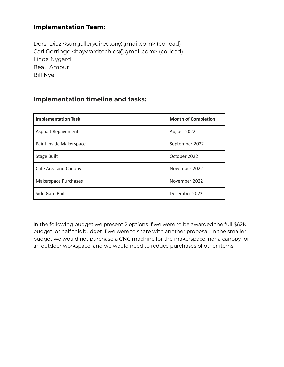#### **Implementation Team:**

Dorsi Diaz <sungallerydirector@gmail.com> (co-lead) Carl Gorringe <haywardtechies@gmail.com> (co-lead) Linda Nygard Beau Ambur Bill Nye

#### **Implementation timeline and tasks:**

| <b>Implementation Task</b> | <b>Month of Completion</b> |  |
|----------------------------|----------------------------|--|
| Asphalt Repavement         | August 2022                |  |
| Paint inside Makerspace    | September 2022             |  |
| <b>Stage Built</b>         | October 2022               |  |
| Cafe Area and Canopy       | November 2022              |  |
| Makerspace Purchases       | November 2022              |  |
| Side Gate Built            | December 2022              |  |

In the following budget we present 2 options if we were to be awarded the full \$62K budget, or half this budget if we were to share with another proposal. In the smaller budget we would not purchase a CNC machine for the makerspace, nor a canopy for an outdoor workspace, and we would need to reduce purchases of other items.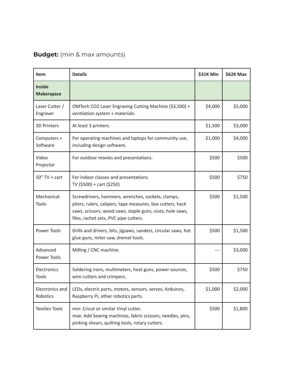## **Budget:** (min & max amounts)

| <b>Item</b>                        | <b>Details</b>                                                                                                                                                                                                        | \$31K Min | \$62K Max |
|------------------------------------|-----------------------------------------------------------------------------------------------------------------------------------------------------------------------------------------------------------------------|-----------|-----------|
| <b>Inside</b><br><b>Makerspace</b> |                                                                                                                                                                                                                       |           |           |
| Laser Cutter /<br>Engraver         | OMTech CO2 Laser Engraving Cutting Machine (\$3,500) +<br>ventilation system + materials.                                                                                                                             | \$4,000   | \$5,000   |
| <b>3D Printers</b>                 | At least 3 printers.                                                                                                                                                                                                  | \$1,500   | \$3,000   |
| Computers +<br>Software            | For operating machines and laptops for community use,<br>including design software.                                                                                                                                   | \$1,000   | \$4,000   |
| Video<br>Projector                 | For outdoor movies and presentations.                                                                                                                                                                                 | \$500     | \$500     |
| $50" TV + cart$                    | For indoor classes and presentations.<br>TV (\$500) + cart (\$250)                                                                                                                                                    | \$500     | \$750     |
| Mechanical<br><b>Tools</b>         | Screwdrivers, hammers, wrenches, sockets, clamps,<br>pliers, rulers, calipers, tape measures, box cutters, hack<br>saws, scissors, wood saws, staple guns, vises, hole saws,<br>files, rachet sets, PVC pipe cutters. | \$500     | \$1,500   |
| <b>Power Tools</b>                 | Drills and drivers, bits, jigsaws, sanders, circular saws, hot<br>glue guns, miter saw, dremel tools.                                                                                                                 | \$500     | \$1,500   |
| Advanced<br>Power Tools            | Milling / CNC machine.                                                                                                                                                                                                |           | \$3,000   |
| Electronics<br>Tools               | Soldering irons, multimeters, heat guns, power sources,<br>wire cutters and crimpers.                                                                                                                                 | \$500     | \$750     |
| <b>Electronics and</b><br>Robotics | LEDs, electric parts, motors, sensors, servos, Arduinos,<br>Raspberry Pi, other robotics parts.                                                                                                                       | \$1,000   | \$2,000   |
| <b>Textiles Tools</b>              | min: Cricut or similar Vinyl cutter.<br>max: Add Sewing machines, fabric scissors, needles, pins,<br>pinking shears, quilting tools, rotary cutters.                                                                  | \$500     | \$1,800   |